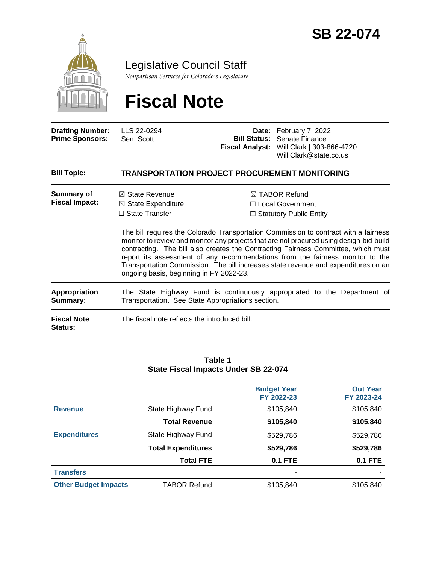

Legislative Council Staff

*Nonpartisan Services for Colorado's Legislature*

# **Fiscal Note**

| <b>Drafting Number:</b><br><b>Prime Sponsors:</b> | LLS 22-0294<br>Sen. Scott                                                                                                      |  | Date: February 7, 2022<br><b>Bill Status: Senate Finance</b><br>Fiscal Analyst: Will Clark   303-866-4720<br>Will.Clark@state.co.us                                                                                                                                                                                                                                                                                                                                                                                             |  |  |  |
|---------------------------------------------------|--------------------------------------------------------------------------------------------------------------------------------|--|---------------------------------------------------------------------------------------------------------------------------------------------------------------------------------------------------------------------------------------------------------------------------------------------------------------------------------------------------------------------------------------------------------------------------------------------------------------------------------------------------------------------------------|--|--|--|
| <b>Bill Topic:</b>                                | <b>TRANSPORTATION PROJECT PROCUREMENT MONITORING</b>                                                                           |  |                                                                                                                                                                                                                                                                                                                                                                                                                                                                                                                                 |  |  |  |
| Summary of<br><b>Fiscal Impact:</b>               | $\boxtimes$ State Revenue<br>$\boxtimes$ State Expenditure<br>$\Box$ State Transfer<br>ongoing basis, beginning in FY 2022-23. |  | $\boxtimes$ TABOR Refund<br>□ Local Government<br>$\Box$ Statutory Public Entity<br>The bill requires the Colorado Transportation Commission to contract with a fairness<br>monitor to review and monitor any projects that are not procured using design-bid-build<br>contracting. The bill also creates the Contracting Fairness Committee, which must<br>report its assessment of any recommendations from the fairness monitor to the<br>Transportation Commission. The bill increases state revenue and expenditures on an |  |  |  |
| <b>Appropriation</b><br>Summary:                  | The State Highway Fund is continuously appropriated to the Department of<br>Transportation. See State Appropriations section.  |  |                                                                                                                                                                                                                                                                                                                                                                                                                                                                                                                                 |  |  |  |
| <b>Fiscal Note</b><br>Status:                     | The fiscal note reflects the introduced bill.                                                                                  |  |                                                                                                                                                                                                                                                                                                                                                                                                                                                                                                                                 |  |  |  |

#### **Table 1 State Fiscal Impacts Under SB 22-074**

|                             |                           | <b>Budget Year</b><br>FY 2022-23 | <b>Out Year</b><br>FY 2023-24 |
|-----------------------------|---------------------------|----------------------------------|-------------------------------|
| <b>Revenue</b>              | State Highway Fund        | \$105,840                        | \$105,840                     |
|                             | <b>Total Revenue</b>      | \$105,840                        | \$105,840                     |
| <b>Expenditures</b>         | State Highway Fund        | \$529,786                        | \$529,786                     |
|                             | <b>Total Expenditures</b> | \$529,786                        | \$529,786                     |
|                             | <b>Total FTE</b>          | <b>0.1 FTE</b>                   | <b>0.1 FTE</b>                |
| <b>Transfers</b>            |                           | ٠                                |                               |
| <b>Other Budget Impacts</b> | <b>TABOR Refund</b>       | \$105,840                        | \$105,840                     |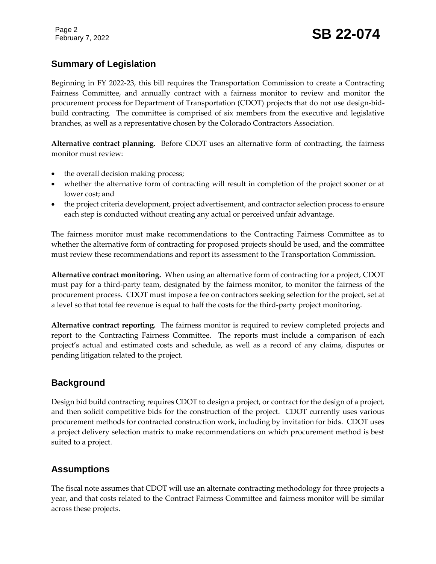Page 2

## **Summary of Legislation**

Beginning in FY 2022-23, this bill requires the Transportation Commission to create a Contracting Fairness Committee, and annually contract with a fairness monitor to review and monitor the procurement process for Department of Transportation (CDOT) projects that do not use design-bidbuild contracting. The committee is comprised of six members from the executive and legislative branches, as well as a representative chosen by the Colorado Contractors Association.

**Alternative contract planning.** Before CDOT uses an alternative form of contracting, the fairness monitor must review:

- the overall decision making process;
- whether the alternative form of contracting will result in completion of the project sooner or at lower cost; and
- the project criteria development, project advertisement, and contractor selection process to ensure each step is conducted without creating any actual or perceived unfair advantage.

The fairness monitor must make recommendations to the Contracting Fairness Committee as to whether the alternative form of contracting for proposed projects should be used, and the committee must review these recommendations and report its assessment to the Transportation Commission.

**Alternative contract monitoring.** When using an alternative form of contracting for a project, CDOT must pay for a third-party team, designated by the fairness monitor, to monitor the fairness of the procurement process. CDOT must impose a fee on contractors seeking selection for the project, set at a level so that total fee revenue is equal to half the costs for the third-party project monitoring.

**Alternative contract reporting.** The fairness monitor is required to review completed projects and report to the Contracting Fairness Committee. The reports must include a comparison of each project's actual and estimated costs and schedule, as well as a record of any claims, disputes or pending litigation related to the project.

## **Background**

Design bid build contracting requires CDOT to design a project, or contract for the design of a project, and then solicit competitive bids for the construction of the project. CDOT currently uses various procurement methods for contracted construction work, including by invitation for bids. CDOT uses a project delivery selection matrix to make recommendations on which procurement method is best suited to a project.

## **Assumptions**

The fiscal note assumes that CDOT will use an alternate contracting methodology for three projects a year, and that costs related to the Contract Fairness Committee and fairness monitor will be similar across these projects.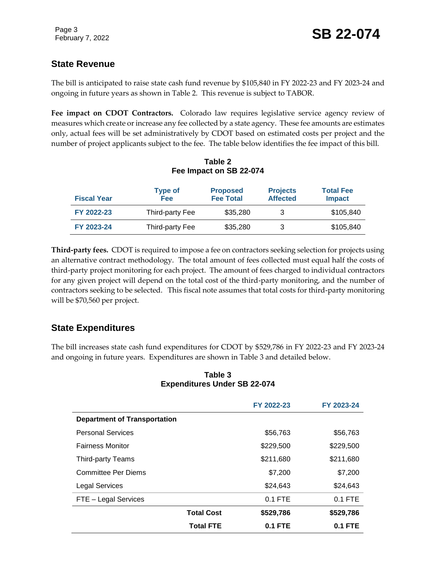## **State Revenue**

The bill is anticipated to raise state cash fund revenue by \$105,840 in FY 2022-23 and FY 2023-24 and ongoing in future years as shown in Table 2. This revenue is subject to TABOR.

**Fee impact on CDOT Contractors.** Colorado law requires legislative service agency review of measures which create or increase any fee collected by a state agency. These fee amounts are estimates only, actual fees will be set administratively by CDOT based on estimated costs per project and the number of project applicants subject to the fee. The table below identifies the fee impact of this bill.

| <b>Fiscal Year</b> | <b>Type of</b><br>Fee | <b>Proposed</b><br><b>Fee Total</b> | <b>Projects</b><br><b>Affected</b> | <b>Total Fee</b><br><b>Impact</b> |
|--------------------|-----------------------|-------------------------------------|------------------------------------|-----------------------------------|
| FY 2022-23         | Third-party Fee       | \$35,280                            |                                    | \$105,840                         |
| FY 2023-24         | Third-party Fee       | \$35,280                            |                                    | \$105,840                         |

#### **Table 2 Fee Impact on SB 22-074**

**Third-party fees.** CDOT is required to impose a fee on contractors seeking selection for projects using an alternative contract methodology. The total amount of fees collected must equal half the costs of third-party project monitoring for each project. The amount of fees charged to individual contractors for any given project will depend on the total cost of the third-party monitoring, and the number of contractors seeking to be selected. This fiscal note assumes that total costs for third-party monitoring will be \$70,560 per project.

## **State Expenditures**

The bill increases state cash fund expenditures for CDOT by \$529,786 in FY 2022-23 and FY 2023-24 and ongoing in future years. Expenditures are shown in Table 3 and detailed below.

#### **Table 3 Expenditures Under SB 22-074**

|                                     |                   | FY 2022-23 | FY 2023-24 |  |  |
|-------------------------------------|-------------------|------------|------------|--|--|
| <b>Department of Transportation</b> |                   |            |            |  |  |
| <b>Personal Services</b>            |                   | \$56,763   | \$56,763   |  |  |
| <b>Fairness Monitor</b>             |                   | \$229,500  | \$229,500  |  |  |
| Third-party Teams                   |                   | \$211,680  | \$211,680  |  |  |
| <b>Committee Per Diems</b>          |                   | \$7,200    | \$7,200    |  |  |
| <b>Legal Services</b>               |                   | \$24,643   | \$24,643   |  |  |
| FTE - Legal Services                |                   | $0.1$ FTE  | $0.1$ FTE  |  |  |
|                                     | <b>Total Cost</b> | \$529,786  | \$529,786  |  |  |
|                                     | <b>Total FTE</b>  | $0.1$ FTE  | $0.1$ FTE  |  |  |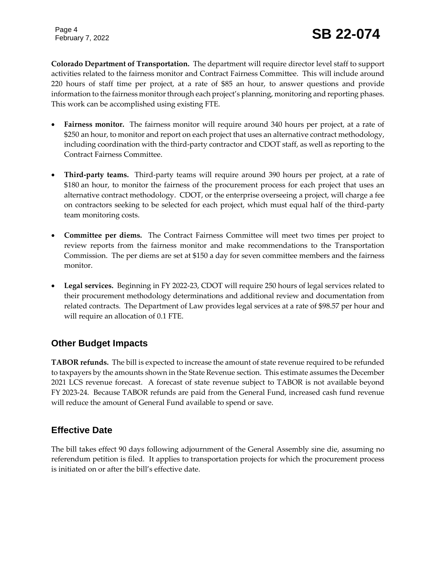Page 4

**Colorado Department of Transportation.** The department will require director level staff to support activities related to the fairness monitor and Contract Fairness Committee. This will include around 220 hours of staff time per project, at a rate of \$85 an hour, to answer questions and provide information to the fairness monitor through each project's planning, monitoring and reporting phases. This work can be accomplished using existing FTE.

- **Fairness monitor.** The fairness monitor will require around 340 hours per project, at a rate of \$250 an hour, to monitor and report on each project that uses an alternative contract methodology, including coordination with the third-party contractor and CDOT staff, as well as reporting to the Contract Fairness Committee.
- **Third-party teams.** Third-party teams will require around 390 hours per project, at a rate of \$180 an hour, to monitor the fairness of the procurement process for each project that uses an alternative contract methodology. CDOT, or the enterprise overseeing a project, will charge a fee on contractors seeking to be selected for each project, which must equal half of the third-party team monitoring costs.
- **Committee per diems.** The Contract Fairness Committee will meet two times per project to review reports from the fairness monitor and make recommendations to the Transportation Commission. The per diems are set at \$150 a day for seven committee members and the fairness monitor.
- **Legal services.** Beginning in FY 2022-23, CDOT will require 250 hours of legal services related to their procurement methodology determinations and additional review and documentation from related contracts. The Department of Law provides legal services at a rate of \$98.57 per hour and will require an allocation of 0.1 FTE.

## **Other Budget Impacts**

**TABOR refunds.** The bill is expected to increase the amount of state revenue required to be refunded to taxpayers by the amounts shown in the State Revenue section. This estimate assumes the December 2021 LCS revenue forecast. A forecast of state revenue subject to TABOR is not available beyond FY 2023-24. Because TABOR refunds are paid from the General Fund, increased cash fund revenue will reduce the amount of General Fund available to spend or save.

## **Effective Date**

The bill takes effect 90 days following adjournment of the General Assembly sine die, assuming no referendum petition is filed. It applies to transportation projects for which the procurement process is initiated on or after the bill's effective date.